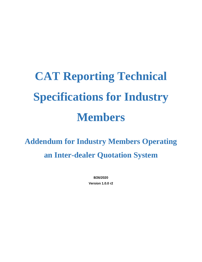# **CAT Reporting Technical Specifications for Industry Members**

**Addendum for Industry Members Operating an Inter-dealer Quotation System**

> **8/26/2020 Version 1.0.0 r2**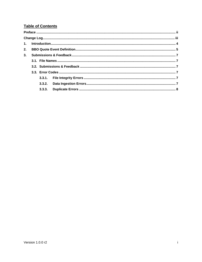# **Table of Contents**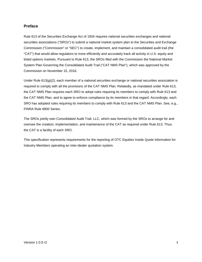#### <span id="page-2-0"></span>**Preface**

Rule 613 of the Securities Exchange Act of 1934 requires national securities exchanges and national securities associations ("SROs") to submit a national market system plan to the Securities and Exchange Commission ("Commission" or "SEC") to create, implement, and maintain a consolidated audit trail (the "CAT") that would allow regulators to more efficiently and accurately track all activity in U.S. equity and listed options markets. Pursuant to Rule 613, the SROs filed with the Commission the National Market System Plan Governing the Consolidated Audit Trail ("CAT NMS Plan"), which was approved by the Commission on November 15, 2016.

Under Rule 613(g)(2), each member of a national securities exchange or national securities association is required to comply with all the provisions of the CAT NMS Plan. Relatedly, as mandated under Rule 613, the CAT NMS Plan requires each SRO to adopt rules requiring its members to comply with Rule 613 and the CAT NMS Plan, and to agree to enforce compliance by its members in that regard. Accordingly, each SRO has adopted rules requiring its members to comply with Rule 613 and the CAT NMS Plan. See, e.g., FINRA Rule 6800 Series.

The SROs jointly own Consolidated Audit Trail, LLC, which was formed by the SROs to arrange for and oversee the creation, implementation, and maintenance of the CAT as required under Rule 613. Thus, the CAT is a facility of each SRO.

This specification represents requirements for the reporting of OTC Equities Inside Quote information for Industry Members operating an inter-dealer quotation system.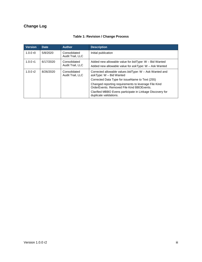# <span id="page-3-0"></span>**Change Log**

| <b>Version</b> | <b>Date</b> | <b>Author</b>                    | <b>Description</b>                                                                                                  |
|----------------|-------------|----------------------------------|---------------------------------------------------------------------------------------------------------------------|
| 1.0.0 $r$ 0    | 5/8/2020    | Consolidated<br>Audit Trail, LLC | Initial publication                                                                                                 |
| 1.0.0 r1       | 6/17/2020   | Consolidated<br>Audit Trail, LLC | Added new allowable value for $bidType: W - Bid$ Wanted<br>Added new allowable value for $askType$ : W - Ask Wanted |
| 1.0.0 $r2$     | 8/26/2020   | Consolidated<br>Audit Trail, LLC | Corrected allowable values $bidType: W - Ask$ Wanted and<br>askType: $W -$ Bid Wanted                               |
|                |             |                                  | Corrected Data Type for issueName to Text (255)                                                                     |
|                |             |                                  | Changed reporting requirements to leverage File Kind<br>OrderEvents, Removed File Kind BBOEvents.                   |
|                |             |                                  | Clarified MBBO Evens participate in Linkage Discovery for<br>duplicate validations.                                 |

### **Table 1: Revision / Change Process**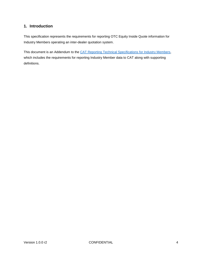# <span id="page-4-0"></span>**1. Introduction**

This specification represents the requirements for reporting OTC Equity Inside Quote information for Industry Members operating an inter-dealer quotation system.

This document is an Addendum to the [CAT Reporting Technical Specifications for Industry Members,](https://www.catnmsplan.com/technical-specifications/index.html) which includes the requirements for reporting Industry Member data to CAT along with supporting definitions.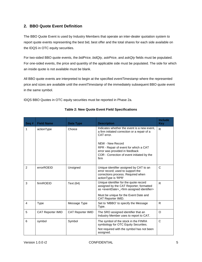# <span id="page-5-0"></span>**2. BBO Quote Event Definition**

The BBO Quote Event is used by Industry Members that operate an inter-dealer quotation system to report quote events representing the best bid, best offer and the total shares for each side available on the IDQS in OTC equity securities.

For two-sided BBO quote events, the *bidPrice, bidQty, askPrice*, and *askQty* fields must be populated. For one-sided events, the price and quantity of the applicable side must be populated. The side for which an inside quote is not available must be blank.

All BBO quote events are interpreted to begin at the specified *eventTimestamp* where the represented price and sizes are available until the *eventTimestamp* of the immediately subsequent BBO quote event in the same symbol.

IDQS BBO Quotes in OTC equity securities must be reported in Phase 2a.

| Seq# | <b>Field Name</b>        | <b>Data Type</b>         | <b>Description</b>                                                                                                                                                                                                       | Include<br><b>Key</b> |
|------|--------------------------|--------------------------|--------------------------------------------------------------------------------------------------------------------------------------------------------------------------------------------------------------------------|-----------------------|
| 1    | actionType               | Choice                   | Indicates whether the event is a new event.<br>a firm initiated correction or a repair of a<br>CAT error.                                                                                                                | $\mathsf{R}$          |
|      |                          |                          | NEW - New Record<br>RPR - Repair of event for which a CAT<br>error was provided in feedback<br>COR - Correction of event initiated by the<br>firm                                                                        |                       |
| 2    | errorROEID               | Unsigned                 | Unique identifier assigned by CAT to an<br>error record; used to support the<br>corrections process. Required when<br>actionType is 'RPR'                                                                                | $\mathsf{C}$          |
| 3    | firmROEID                | Text (64)                | Unique identifier for the quote record<br>assigned by the CAT Reporter; formatted<br>as <eventdate>_<firm assigned="" identifier=""><br/>Must be unique for the Event Date and<br/>CAT Reporter IMID.</firm></eventdate> | R                     |
| 4    | <b>Type</b>              | Message Type             | Set to 'MBBO' to specify the Message<br>Type.                                                                                                                                                                            | R.                    |
| 5    | <b>CAT Reporter IMID</b> | <b>CAT Reporter IMID</b> | The SRO assigned identifier that an<br>Industry Member uses to report to CAT.                                                                                                                                            | O                     |
| 6    | symbol                   | Symbol                   | The symbol of the stock in the FINRA<br>symbology for OTC Equity Securities.<br>Not required with the symbol has not been<br>assigned.                                                                                   | $\mathsf{C}$          |

#### **Table 2: New Quote Event Field Specifications**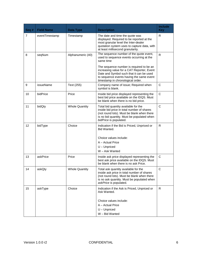| Seq#           | <b>Field Name</b> | Data Type             | <b>Description</b>                                                                                                                                                                                                  | <b>Include</b><br><b>Key</b> |
|----------------|-------------------|-----------------------|---------------------------------------------------------------------------------------------------------------------------------------------------------------------------------------------------------------------|------------------------------|
| $\overline{7}$ | eventTimestamp    | Timestamp             | The date and time the quote was<br>displayed. Required to be reported at the<br>most granular level the Inter-dealer<br>quotation system uses to capture data, with<br>at least millisecond granularity.            | R                            |
| 8              | seqNum            | Alphanumeric (40)     | The sequence number of the quote event,<br>used to sequence events occurring at the<br>same time                                                                                                                    | $\mathsf{R}$                 |
|                |                   |                       | The sequence number is required to be an<br>increasing value for a CAT Reporter, Event<br>Date and Symbol such that it can be used<br>to sequence events having the same event<br>timestamp in chronological order. |                              |
| 9              | issueName         | Text (255)            | Company name of issue; Required when<br>symbol is blank.                                                                                                                                                            | $\mathsf C$                  |
| 10             | bidPrice          | Price                 | Inside bid price displayed representing the<br>best bid price available on the IDQS. Must<br>be blank when there is no bid price.                                                                                   | C                            |
| 11             | bidQty            | <b>Whole Quantity</b> | Total bid quantity available for the<br>inside bid price in total number of shares<br>(not round lots). Must be blank when there<br>is no bid quantity. Must be populated when<br>bidPrice is populated.            | $\mathsf{C}$                 |
| 12             | bidType           | Choice                | Indication if the Bid is Priced, Unpriced or<br>Bid Wanted.<br>Choice values include:<br>A - Actual Price<br>$U -$ Unpriced<br>W - Ask Wanted                                                                       | R                            |
| 13             | askPrice          | Price                 | Inside ask price displayed representing the<br>best ask price available on the IDQS. Must<br>be blank when there is no ask Price.                                                                                   | $\mathsf{C}$                 |
| 14             | askQty            | <b>Whole Quantity</b> | Total ask quantity available for the<br>inside ask price in total number of shares<br>(not round lots). Must be blank when there<br>is no ask quantity. Must be populated when<br>askPrice is populated.            | $\mathsf C$                  |
| 15             | askType           | Choice                | Indication if the Ask is Priced, Unpriced or<br>Ask Wanted.<br>Choice values include:<br>A - Actual Price<br>$U -$ Unpriced<br>W - Bid Wanted                                                                       | R.                           |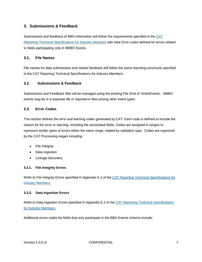## <span id="page-7-0"></span>**3. Submissions & Feedback**

Submissions and feedback of BBO information will follow the requirements specified in the [CAT](https://www.catnmsplan.com/technical-specifications/index.html)  [Reporting Technical Specifications for Industry Members](https://www.catnmsplan.com/technical-specifications/index.html) with New Error codes defined for errors related to fields participating only in MBBO Events.

#### <span id="page-7-1"></span>**3.1. File Names**

File names for data submissions and related feedback will follow the same reporting constructs specified in the CAT Reporting Technical Specifications for Industry Members.

#### <span id="page-7-2"></span>**3.2. Submissions & Feedback**

Submissions and Feedback files will be managed using the existing File Kind of 'OrderEvents'. MBBO events may be in a separate file or reported in files among other event types.

#### <span id="page-7-3"></span>**3.3. Error Codes**

This section defines the error and warning codes generated by CAT. Each code is defined to include the reason for the error or warning, including the associated fields. Codes are assigned in ranges to represent similar types of errors within the same range, related by validation type. Codes are organized by the CAT Processing stages including:

- File Integrity
- Data Ingestion
- Linkage Discovery

#### <span id="page-7-4"></span>**3.3.1. File Integrity Errors**

Refer to File Integrity Errors specified in Appendix E.1 of the CAT Reporting Technical Specifications for [Industry Members.](https://www.catnmsplan.com/technical-specifications/index.html)

#### <span id="page-7-5"></span>**3.3.2. Data Ingestion Errors**

Refer to Data Ingestion Errors specified in Appendix E.2 of the [CAT Reporting Technical Specifications](https://www.catnmsplan.com/technical-specifications/index.html)  [for Industry Members.](https://www.catnmsplan.com/technical-specifications/index.html)

Additional errors codes for fields that only participate in the BBO Events schema include: